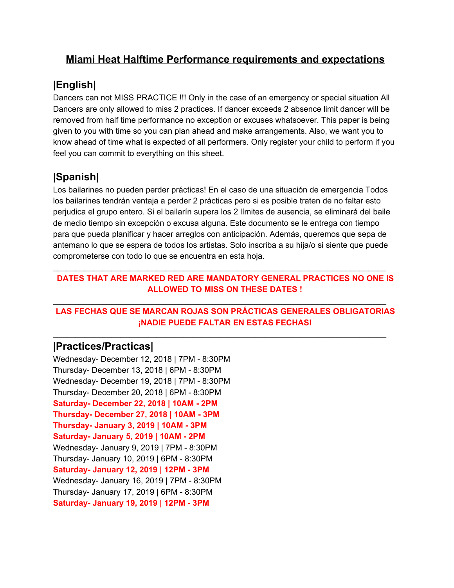## **Miami Heat Halftime Performance requirements and expectations**

# **|English|**

Dancers can not MISS PRACTICE !!! Only in the case of an emergency or special situation All Dancers are only allowed to miss 2 practices. If dancer exceeds 2 absence limit dancer will be removed from half time performance no exception or excuses whatsoever. This paper is being given to you with time so you can plan ahead and make arrangements. Also, we want you to know ahead of time what is expected of all performers. Only register your child to perform if you feel you can commit to everything on this sheet.

# **|Spanish|**

Los bailarines no pueden perder prácticas! En el caso de una situación de emergencia Todos los bailarines tendrán ventaja a perder 2 prácticas pero si es posible traten de no faltar esto perjudica el grupo entero. Si el bailarín supera los 2 límites de ausencia, se eliminará del baile de medio tiempo sin excepción o excusa alguna. Este documento se le entrega con tiempo para que pueda planificar y hacer arreglos con anticipación. Además, queremos que sepa de antemano lo que se espera de todos los artistas. Solo inscriba a su hija/o si siente que puede comprometerse con todo lo que se encuentra en esta hoja.

#### **DATES THAT ARE MARKED RED ARE MANDATORY GENERAL PRACTICES NO ONE IS ALLOWED TO MISS ON THESE DATES !**

\_\_\_\_\_\_\_\_\_\_\_\_\_\_\_\_\_\_\_\_\_\_\_\_\_\_\_\_\_\_\_\_\_\_\_\_\_\_\_\_\_\_\_\_\_\_\_\_\_\_\_\_\_\_\_\_\_\_\_\_\_\_\_\_\_\_\_\_\_\_\_\_\_\_

**\_\_\_\_\_\_\_\_\_\_\_\_\_\_\_\_\_\_\_\_\_\_\_\_\_\_\_\_\_\_\_\_\_\_\_\_\_\_\_\_\_\_\_\_\_\_\_\_\_\_\_\_\_\_\_\_\_\_\_\_\_\_\_\_\_\_\_\_\_\_\_\_\_\_**

\_\_\_\_\_\_\_\_\_\_\_\_\_\_\_\_\_\_\_\_\_\_\_\_\_\_\_\_\_\_\_\_\_\_\_\_\_\_\_\_\_\_\_\_\_\_\_\_\_\_\_\_\_\_\_\_\_\_\_\_\_\_\_\_\_\_\_\_\_\_\_\_\_\_

#### **LAS FECHAS QUE SE MARCAN ROJAS SON PRÁCTICAS GENERALES OBLIGATORIAS ¡NADIE PUEDE FALTAR EN ESTAS FECHAS!**

### **|Practices/Practicas|**

Wednesday- December 12, 2018 | 7PM - 8:30PM Thursday- December 13, 2018 | 6PM - 8:30PM Wednesday- December 19, 2018 | 7PM - 8:30PM Thursday- December 20, 2018 | 6PM - 8:30PM **Saturday- December 22, 2018 | 10AM - 2PM Thursday- December 27, 2018 | 10AM - 3PM Thursday- January 3, 2019 | 10AM - 3PM Saturday- January 5, 2019 | 10AM - 2PM** Wednesday- January 9, 2019 | 7PM - 8:30PM Thursday- January 10, 2019 | 6PM - 8:30PM **Saturday- January 12, 2019 | 12PM - 3PM** Wednesday- January 16, 2019 | 7PM - 8:30PM Thursday- January 17, 2019 | 6PM - 8:30PM **Saturday- January 19, 2019 | 12PM - 3PM**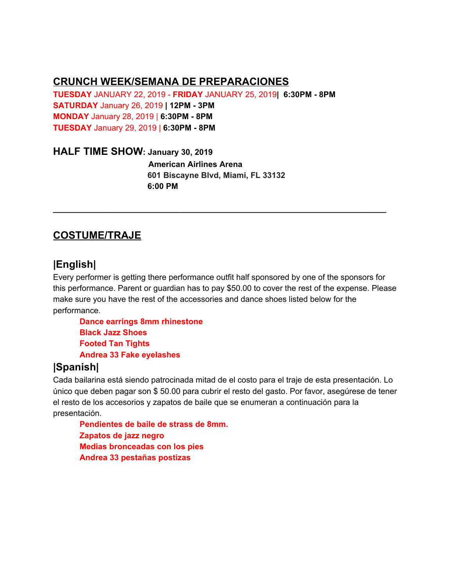### **CRUNCH WEEK/SEMANA DE PREPARACIONES**

**TUESDAY** JANUARY 22, 2019 - **FRIDAY** JANUARY 25, 2019**| 6:30PM - 8PM SATURDAY** January 26, 2019 **| 12PM - 3PM MONDAY** January 28, 2019 | **6:30PM - 8PM TUESDAY** January 29, 2019 | **6:30PM - 8PM**

#### **HALF TIME SHOW: January 30, 2019**

**American Airlines Arena 601 Biscayne Blvd, Miami, FL 33132 6:00 PM**

**\_\_\_\_\_\_\_\_\_\_\_\_\_\_\_\_\_\_\_\_\_\_\_\_\_\_\_\_\_\_\_\_\_\_\_\_\_\_\_\_\_\_\_\_\_\_\_\_\_\_\_\_\_\_\_\_\_\_\_\_\_\_\_\_\_\_\_\_\_\_\_\_\_\_**

# **COSTUME/TRAJE**

## **|English|**

Every performer is getting there performance outfit half sponsored by one of the sponsors for this performance. Parent or guardian has to pay \$50.00 to cover the rest of the expense. Please make sure you have the rest of the accessories and dance shoes listed below for the performance.

**Dance earrings 8mm rhinestone Black Jazz Shoes Footed Tan Tights Andrea 33 Fake eyelashes**

# **|Spanish|**

Cada bailarina está siendo patrocinada mitad de el costo para el traje de esta presentación. Lo único que deben pagar son \$ 50.00 para cubrir el resto del gasto. Por favor, asegúrese de tener el resto de los accesorios y zapatos de baile que se enumeran a continuación para la presentación.

**Pendientes de baile de strass de 8mm. Zapatos de jazz negro Medias bronceadas con los pies Andrea 33 pestañas postizas**